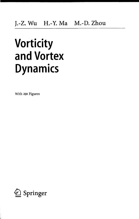# **Vorticity and Vortex Dynamics**

With 291 Figures

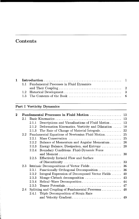## Contents

|  | 1.1 Fundamental Processes in Fluid Dynamics |  |  |  |  |  |
|--|---------------------------------------------|--|--|--|--|--|
|  |                                             |  |  |  |  |  |
|  |                                             |  |  |  |  |  |
|  |                                             |  |  |  |  |  |
|  |                                             |  |  |  |  |  |

### **Part I Vorticity Dynamics**

| 2 |               |       | Fundamental Processes in Fluid Motion  13                          |     |
|---|---------------|-------|--------------------------------------------------------------------|-----|
|   | 2.1           |       |                                                                    |     |
|   |               | 2.1.1 | Descriptions and Visualizations of Fluid Motion $\ldots \ldots$ 13 |     |
|   |               | 2.1.2 | Deformation Kinematics. Vorticity and Dilatation                   | 18  |
|   |               | 2.1.3 |                                                                    |     |
|   | $2.2^{\circ}$ |       | Fundamental Equations of Newtonian Fluid Motion                    | -25 |
|   |               | 2.2.1 |                                                                    |     |
|   |               | 2.2.2 | Balance of Momentum and Angular Momentum 26                        |     |
|   |               | 2.2.3 |                                                                    |     |
|   |               | 2.2.4 | Boundary Conditions. Fluid-Dynamic Force                           |     |
|   |               |       |                                                                    |     |
|   |               | 2.2.5 | Effectively Inviscid Flow and Surface                              |     |
|   |               |       |                                                                    |     |
|   | 2.3           |       |                                                                    |     |
|   |               | 2.3.1 |                                                                    |     |
|   |               | 2.3.2 | Integral Expression of Decomposed Vector Fields                    | 40  |
|   |               | 2.3.3 |                                                                    |     |
|   |               | 2.3.4 |                                                                    |     |
|   |               | 2.3.5 |                                                                    |     |
|   | 2.4           |       |                                                                    |     |
|   |               | 2.4.1 | Triple Decomposition of Strain Rate                                |     |
|   |               |       |                                                                    |     |
|   |               |       |                                                                    |     |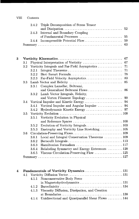| VIII | Contents |
|------|----------|
|      |          |

| 2.4.2 Triple Decomposition of Stress Tensor |  |
|---------------------------------------------|--|
|                                             |  |
| 2.4.3 Internal and Boundary Coupling        |  |
|                                             |  |
|                                             |  |
|                                             |  |

| 3 |                  |       |                                               |
|---|------------------|-------|-----------------------------------------------|
|   | 3.1              |       |                                               |
|   | 3.2              |       |                                               |
|   |                  | 3.2.1 |                                               |
|   |                  | 3.2.2 |                                               |
|   |                  | 3.2.3 | 83                                            |
|   | 3.3 <sub>1</sub> |       | 85                                            |
|   |                  | 3.3.1 | Complex Lamellar, Beltrami,                   |
|   |                  |       | and Generalized Beltrami Flows<br>86          |
|   |                  | 3.3.2 | Lamb Vector Integrals, Helicity,              |
|   |                  |       |                                               |
|   | 3.4              |       |                                               |
|   |                  | 3.4.1 |                                               |
|   |                  | 3.4.2 |                                               |
|   | $3.5\,$          |       |                                               |
|   |                  | 3.5.1 | Vorticity Evolution in Physical               |
|   |                  |       |                                               |
|   |                  | 3.5.2 |                                               |
|   |                  | 3.5.3 |                                               |
|   | $3.6\,$          |       |                                               |
|   |                  | 3.6.1 | Local and Integral Conservation Theorems  109 |
|   |                  | 3.6.2 |                                               |
|   |                  | 3.6.3 |                                               |
|   |                  | 3.6.4 | Relabeling Symmetry and Energy Extremum  120  |
|   |                  | 3.6.5 | Viscous Circulation-Preserving Flow  125      |
|   |                  |       |                                               |

| 4 |  |                                                         |
|---|--|---------------------------------------------------------|
|   |  |                                                         |
|   |  | 4.1.1 Nonconservative Body Force                        |
|   |  |                                                         |
|   |  |                                                         |
|   |  | 4.1.3 Viscosity Diffusion, Dissipation, and Creation    |
|   |  |                                                         |
|   |  | 4.1.4 Unidirectional and Quasiparallel Shear Flows  144 |

 $\mathcal{L}^{\text{max}}_{\text{max}}$  and  $\mathcal{L}^{\text{max}}_{\text{max}}$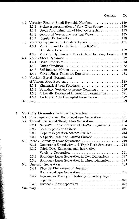| 4.2 |       |                                                        |
|-----|-------|--------------------------------------------------------|
|     | 4.2.1 | Stokes Approximation of Flow Over Sphere 150           |
|     | 4.2.2 | Oseen Approximation of Flow Over Sphere  153           |
|     | 4.2.3 | Separated Vortex and Vortical Wake155                  |
|     | 4.2.4 |                                                        |
|     |       | 4.3 Vorticity Dynamics in Boundary Layers  161         |
|     | 4.3.1 | Vorticity and Lamb Vector in Solid-Wall                |
|     |       |                                                        |
|     | 4.3.2 | Vorticity Dynamics in Free-Surface Boundary Layer  168 |
| 4.4 |       |                                                        |
|     | 4.4.1 |                                                        |
|     | 4.4.2 |                                                        |
|     |       |                                                        |
|     | 4.4.4 |                                                        |
| 4.5 |       | Vorticity-Based Formulation                            |
|     |       |                                                        |
|     | 4.5.1 |                                                        |
|     | 4.5.2 | Boundary Vorticity–Pressure Coupling  190              |
|     | 4.5.3 | A Locally Decoupled Differential Formulation 191       |
|     | 4.5.4 | An Exact Fully Decoupled Formulation  197              |
|     |       |                                                        |

| 5. |     |       | Vorticity Dynamics in Flow Separation 201             |
|----|-----|-------|-------------------------------------------------------|
|    | 5.1 |       | Flow Separation and Boundary-Layer Separation  201    |
|    | 5.2 |       | Three-Dimensional Steady Flow Separation 204          |
|    |     | 5.2.1 | Near-Wall Flow in Terms of On-Wall Signatures205      |
|    |     | 5.2.2 |                                                       |
|    |     | 5.2.3 |                                                       |
|    |     | 5.2.4 | A Special Result on Curved Surface 215                |
|    | 5.3 |       | Steady Boundary Layer Separation 216                  |
|    |     | 5.3.1 | Goldstein's Singularity and Triple-Deck Structure 218 |
|    |     | 5.3.2 | Triple-Deck Equations and Interactive                 |
|    |     |       |                                                       |
|    |     | 5.3.3 | Boundary-Layer Separation in Two Dimensions 227       |
|    |     | 5.3.4 | Boundary-Layer Separation in Three Dimensions 229     |
|    | 5.4 |       |                                                       |
|    |     | 5.4.1 | Physical Phenomena of Unsteady                        |
|    |     |       | Boundary-Layer Separation 235                         |
|    |     | 5.4.2 | Lagrangian Theory of Unsteady Boundary Layer          |
|    |     |       |                                                       |
|    |     | 5.4.3 |                                                       |
|    |     |       |                                                       |
|    |     |       |                                                       |

i<br>Sk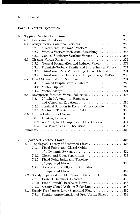#### **Part II Vortex Dynamics**

| 6 |     |       |                                                      |
|---|-----|-------|------------------------------------------------------|
|   | 6.1 |       |                                                      |
|   | 6.2 |       |                                                      |
|   |     | 6.2.1 | Stretch-Free Columnar Vortices 260                   |
|   |     | 6.2.2 | Viscous Vortices with Axial Stretching 263           |
|   |     | 6.2.3 | Conical Similarity Swirling Vortices268              |
|   | 6.3 |       |                                                      |
|   |     | 6.3.1 | General Formulation and Induced Velocity272          |
|   |     | 6.3.2 | Fraenkel-Norbury Family and Hill Spherical Vortex277 |
|   |     | 6.3.3 | Thin-Cored Pure Vortex Ring: Direct Method281        |
|   |     | 6.3.4 | Thin-Cored Swirling Vortex Rings: Energy Method  283 |
|   | 6.4 |       |                                                      |
|   |     | 6.4.1 | Strained Elliptic Vortex Patches285                  |
|   |     | 6.4.2 |                                                      |
|   |     | 6.4.3 |                                                      |
|   | 6.5 |       | Asymptotic Strained Vortex Solutions295              |
|   |     | 6.5.1 | Matched Asymptotic Expansion                         |
|   |     |       | and Canonical Equations 296                          |
|   |     | 6.5.2 | Strained Solution in Distant Vortex Dipole 303       |
|   |     | 6.5.3 | Vortex in Triaxial Strain Field 306                  |
|   | 6.6 |       |                                                      |
|   |     | 6.6.1 |                                                      |
|   |     | 6.6.2 | An Analytical Comparison of the Criteria 314         |
|   |     | 6.6.3 | Test Examples and Discussion 316                     |
|   |     |       |                                                      |
|   |     |       |                                                      |
| 7 |     |       |                                                      |
|   | 7.1 |       | Topological Theory of Separated Flows 323            |
|   |     | 7.1.1 | Fixed Points and Closed Orbits                       |
|   |     |       |                                                      |
|   |     | 7.1.2 | Closed and Open Separations 327                      |
|   |     | 7.1.3 | Fixed-Point Index and Topology                       |
|   |     |       |                                                      |
|   |     | 7.1.4 | Structural Stability and Bifurcation                 |
|   |     |       |                                                      |
|   | 7.2 |       | Steady Separated Bubble Flows in Euler Limit 339     |
|   |     | 7.2.1 | Prandtl-Batchelor Theorem 340                        |
|   |     | 7.2.2 | Plane Prandtl-Batchelor Flows346                     |
|   |     | 7.2.3 | Steady Global Wake in Euler Limit 350                |
|   | 7.3 |       | Steady Free Vortex-Layer Separated Flow 352          |
|   |     | 7.3.1 | Slender Approximation of Free Vortex Sheet 353       |
|   |     |       |                                                      |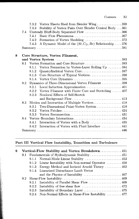|   |     | 7.3.2 | Vortex Sheets Shed from Slender Wing359                  |
|---|-----|-------|----------------------------------------------------------|
|   |     | 7.3.3 | Stability of Vortex Pairs Over Slender Conical Body  361 |
|   | 7.4 |       | Unsteady Bluff-Body Separated Flow 366                   |
|   |     | 7.4.1 |                                                          |
|   |     | 7.4.2 | Formation of Vortex Shedding 372                         |
|   |     | 7.4.3 | A Dynamic Model of the $(St, C_D, Re)$ Relationship  376 |
|   |     |       |                                                          |
|   |     |       |                                                          |
| 8 |     |       | Core Structure, Vortex Filament,                         |
|   |     |       |                                                          |
|   | 8.1 |       | Vortex Formation and Core Structure383                   |
|   |     | 8.1.1 | Vortex Formation by Vortex-Layer Rolling Up 384          |
|   |     | 8.1.2 | Quasicylindrical Vortex Core387                          |
|   |     | 8.1.3 | Core Structure of Typical Vortices390                    |
|   |     | 8.1.4 |                                                          |
|   | 8.2 |       | Dynamics of Three-Dimensional Vortex Filament 399        |
|   |     | 8.2.1 | Local Induction Approximation  401                       |
|   |     | 8.2.2 | Vortex Filament with Finite Core and Stretching  407     |
|   |     | 8.2.3 | Nonlocal Effects of Self-Stretch                         |
|   |     |       |                                                          |
|   | 8.3 |       | Motion and Interaction of Multiple Vortices 418          |
|   |     | 8.3.1 | Two-Dimensional Point-Vortex System 418                  |
|   |     | 8.3.2 |                                                          |
|   |     | 8.3.3 |                                                          |
|   | 8.4 |       |                                                          |
|   |     | 8.4.1 | Interaction of Vortex with a Body  435                   |
|   |     | 8.4.2 | Interaction of Vortex with Fluid Interface  441          |
|   |     |       |                                                          |
|   |     |       |                                                          |

#### **Part III Vortical Flow Instability, Transition and Turbulence**

| 9 |         | Vortical-Flow Stability and Vortex Breakdown 451                                     |
|---|---------|--------------------------------------------------------------------------------------|
|   | 9.1     | Fundamentals of Hydrodynamic Stability  451                                          |
|   |         | 9.1.1 Normal-Mode Linear Stability  453                                              |
|   |         | 9.1.2 Linear Instability with Non-normal Operator $\dots \dots \dots$ 458            |
|   |         | 9.1.3 Energy Method and Inviscid Arnold Theory $\dots \dots \dots 462$               |
|   |         | 9.1.4 Linearized Disturbance Lamb Vector                                             |
|   |         | and the Physics of Instability $\dots \dots \dots \dots \dots \dots \dots \dots 467$ |
|   | $9.2 -$ |                                                                                      |
|   |         | 9.2.1 Instability of Parallel Shear Flow  469                                        |
|   |         | 9.2.2 Instability of free shear flow $\ldots \ldots \ldots \ldots \ldots \ldots 472$ |
|   |         | 9.2.3 Instability of Boundary Layer  475                                             |
|   |         | $9.2.4$ Non-Normal Effects in Shear-Flow Instability 477                             |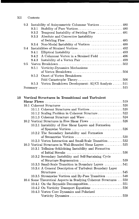|    | 9.3 |       | Instability of Axisymmetric Columnar Vortices  480 |
|----|-----|-------|----------------------------------------------------|
|    |     | 9.3.1 |                                                    |
|    |     | 9.3.2 | Temporal Instability of Swirling Flow  481         |
|    |     | 9.3.3 | Absolute and Convective Instability                |
|    |     |       |                                                    |
|    |     | 9.3.4 | Non-Modal Instability of Vortices  488             |
|    | 9.4 |       |                                                    |
|    |     | 9.4.1 |                                                    |
|    |     | 9.4.2 | A Columnar Vortex in a Strained Field  496         |
|    |     | 9.4.3 |                                                    |
|    | 9.5 |       |                                                    |
|    |     | 9.5.1 | Vorticity-Dynamics Mechanisms                      |
|    |     |       |                                                    |
|    |     | 9.5.2 | Onset of Vortex Breakdown:                         |
|    |     |       |                                                    |
|    |     | 9.5.3 | Vortex Breakdown Development: AI/CI Analysis 511   |
|    |     |       |                                                    |
|    |     |       |                                                    |
|    |     |       |                                                    |
| 10 |     |       | Vortical Structures in Transitional and Turbulent  |
|    |     |       |                                                    |
|    |     |       |                                                    |

|  | 10.1.2 Scaling Problem in Coherent Structure522                    |  |
|--|--------------------------------------------------------------------|--|
|  |                                                                    |  |
|  | 10.2 Vortical Structures in Free Shear Flows 526                   |  |
|  | 10.2.1 Instability of Free Shear Layers and Formation              |  |
|  |                                                                    |  |
|  | 10.2.2 The Secondary Instability and Formation                     |  |
|  |                                                                    |  |
|  | 10.2.3 Vortex Interaction and Small-Scale Transition532            |  |
|  | 10.3 Vortical Structures in Wall-Bounded Shear Layers 535          |  |
|  | 10.3.1 Tollmien-Schlichting Instability and Formation              |  |
|  |                                                                    |  |
|  | 10.3.2 Secondary Instability and Self-Sustaining Cycle             |  |
|  | of Structure Regeneration 539                                      |  |
|  | 10.3.3 Small-Scale Transition in Boundary Layers 541               |  |
|  | 10.3.4 A General Description of Turbulent Boundary Layer           |  |
|  |                                                                    |  |
|  | 10.3.5 Streamwise Vortices and By-Pass Transition 548              |  |
|  | 10.4 Some Theoretical Aspects in Studying Coherent Structures  550 |  |
|  |                                                                    |  |
|  | 10.4.2 On Vorticity Transport Equations 556                        |  |
|  | 10.4.3 Vortex Core Dynamics and Polarized                          |  |
|  |                                                                    |  |
|  |                                                                    |  |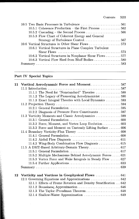## **Part IV Special Topics**

|    | 11 Vortical Aerodynamic Force and Moment587                     |  |
|----|-----------------------------------------------------------------|--|
|    |                                                                 |  |
|    | 11.1.1 The Need for "Nonstandard" Theories 588                  |  |
|    | 11.1.2 The Legacy of Pioneering Aerodynamicist  590             |  |
|    | 11.1.3 Exact Integral Theories with Local Dynamics 593          |  |
|    |                                                                 |  |
|    |                                                                 |  |
|    | 11.2.2 Diagnosis of Pressure Force Constituents 597             |  |
|    | 11.3 Vorticity Moments and Classic Aerodynamics 599             |  |
|    |                                                                 |  |
|    | 11.3.2 Force, Moment, and Vortex Loop Evolution 603             |  |
|    | 11.3.3 Force and Moment on Unsteady Lifting Surface  606        |  |
|    |                                                                 |  |
|    |                                                                 |  |
|    |                                                                 |  |
|    |                                                                 |  |
|    |                                                                 |  |
|    |                                                                 |  |
|    | 11.5.2 Multiple Mechanisms Behind Aerodynamic Forces  621       |  |
|    | 11.5.3 Vortex Force and Wake Integrals in Steady Flow  627      |  |
|    |                                                                 |  |
|    |                                                                 |  |
| 12 | Vorticity and Vortices in Geophysical Flows  641                |  |
|    |                                                                 |  |
|    | 12.1.1 Effects of Frame Rotation and Density Stratification 642 |  |
|    |                                                                 |  |
|    |                                                                 |  |
|    |                                                                 |  |